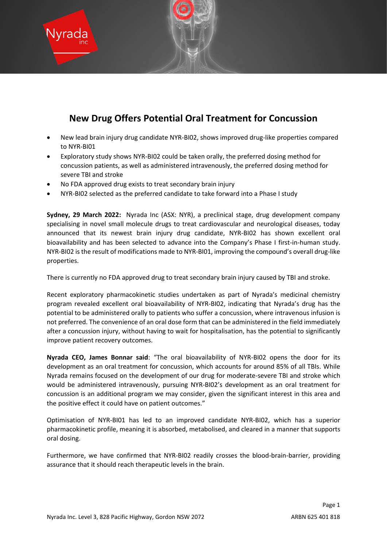

# **New Drug Offers Potential Oral Treatment for Concussion**

- New lead brain injury drug candidate NYR-BI02, shows improved drug-like properties compared to NYR-BI01
- Exploratory study shows NYR-BI02 could be taken orally, the preferred dosing method for concussion patients, as well as administered intravenously, the preferred dosing method for severe TBI and stroke
- No FDA approved drug exists to treat secondary brain injury
- NYR-BI02 selected as the preferred candidate to take forward into a Phase I study

**Sydney, 29 March 2022:** Nyrada Inc (ASX: NYR), a preclinical stage, drug development company specialising in novel small molecule drugs to treat cardiovascular and neurological diseases, today announced that its newest brain injury drug candidate, NYR-BI02 has shown excellent oral bioavailability and has been selected to advance into the Company's Phase I first-in-human study. NYR-BI02 is the result of modifications made to NYR-BI01, improving the compound's overall drug-like properties.

There is currently no FDA approved drug to treat secondary brain injury caused by TBI and stroke.

Recent exploratory pharmacokinetic studies undertaken as part of Nyrada's medicinal chemistry program revealed excellent oral bioavailability of NYR-BI02, indicating that Nyrada's drug has the potential to be administered orally to patients who suffer a concussion, where intravenous infusion is not preferred. The convenience of an oral dose form that can be administered in the field immediately after a concussion injury, without having to wait for hospitalisation, has the potential to significantly improve patient recovery outcomes.

**Nyrada CEO, James Bonnar said**: "The oral bioavailability of NYR-BI02 opens the door for its development as an oral treatment for concussion, which accounts for around 85% of all TBIs. While Nyrada remains focused on the development of our drug for moderate-severe TBI and stroke which would be administered intravenously, pursuing NYR-BI02's development as an oral treatment for concussion is an additional program we may consider, given the significant interest in this area and the positive effect it could have on patient outcomes."

Optimisation of NYR-BI01 has led to an improved candidate NYR-BI02, which has a superior pharmacokinetic profile, meaning it is absorbed, metabolised, and cleared in a manner that supports oral dosing.

Furthermore, we have confirmed that NYR-BI02 readily crosses the blood-brain-barrier, providing assurance that it should reach therapeutic levels in the brain.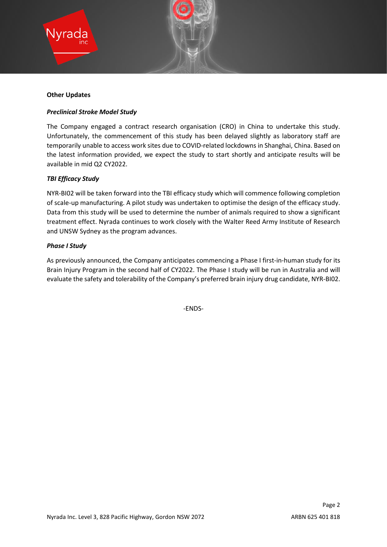

## **Other Updates**

# *Preclinical Stroke Model Study*

The Company engaged a contract research organisation (CRO) in China to undertake this study. Unfortunately, the commencement of this study has been delayed slightly as laboratory staff are temporarily unable to access work sites due to COVID-related lockdowns in Shanghai, China. Based on the latest information provided, we expect the study to start shortly and anticipate results will be available in mid Q2 CY2022.

# *TBI Efficacy Study*

NYR-BI02 will be taken forward into the TBI efficacy study which will commence following completion of scale-up manufacturing. A pilot study was undertaken to optimise the design of the efficacy study. Data from this study will be used to determine the number of animals required to show a significant treatment effect. Nyrada continues to work closely with the Walter Reed Army Institute of Research and UNSW Sydney as the program advances.

# *Phase I Study*

As previously announced, the Company anticipates commencing a Phase I first-in-human study for its Brain Injury Program in the second half of CY2022. The Phase I study will be run in Australia and will evaluate the safety and tolerability of the Company's preferred brain injury drug candidate, NYR-BI02.

-ENDS-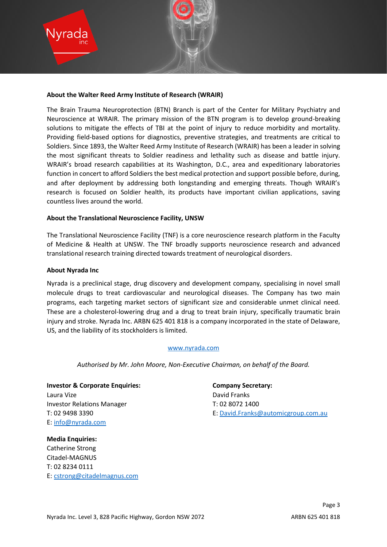

## **About the Walter Reed Army Institute of Research (WRAIR)**

The Brain Trauma Neuroprotection (BTN) Branch is part of the Center for Military Psychiatry and Neuroscience at WRAIR. The primary mission of the BTN program is to develop ground-breaking solutions to mitigate the effects of TBI at the point of injury to reduce morbidity and mortality. Providing field-based options for diagnostics, preventive strategies, and treatments are critical to Soldiers. Since 1893, the Walter Reed Army Institute of Research (WRAIR) has been a leader in solving the most significant threats to Soldier readiness and lethality such as disease and battle injury. WRAIR's broad research capabilities at its Washington, D.C., area and expeditionary laboratories function in concert to afford Soldiers the best medical protection and support possible before, during, and after deployment by addressing both longstanding and emerging threats. Though WRAIR's research is focused on Soldier health, its products have important civilian applications, saving countless lives around the world.

## **About the Translational Neuroscience Facility, UNSW**

The Translational Neuroscience Facility (TNF) is a core neuroscience research platform in the Faculty of Medicine & Health at UNSW. The TNF broadly supports neuroscience research and advanced translational research training directed towards treatment of neurological disorders.

#### **About Nyrada Inc**

Nyrada is a preclinical stage, drug discovery and development company, specialising in novel small molecule drugs to treat cardiovascular and neurological diseases. The Company has two main programs, each targeting market sectors of significant size and considerable unmet clinical need. These are a cholesterol-lowering drug and a drug to treat brain injury, specifically traumatic brain injury and stroke. Nyrada Inc. ARBN 625 401 818 is a company incorporated in the state of Delaware, US, and the liability of its stockholders is limited.

#### [www.nyrada.com](http://www.nyrada.com/)

*Authorised by Mr. John Moore, Non-Executive Chairman, on behalf of the Board.*

**Investor & Corporate Enquiries: Company Secretary:** Laura Vize **David Franks** Investor Relations Manager T: 02 8072 1400 E: [info@nyrada.com](mailto:info@nyrada.com)

**Media Enquiries:** Catherine Strong Citadel-MAGNUS T: 02 8234 0111 E: [cstrong@citadelmagnus.com](mailto:cstrong@citadelmagnus.com)

T: 02 9498 3390 E: [David.Franks@automicgroup.com.au](mailto:David.Franks@automicgroup.com.au)